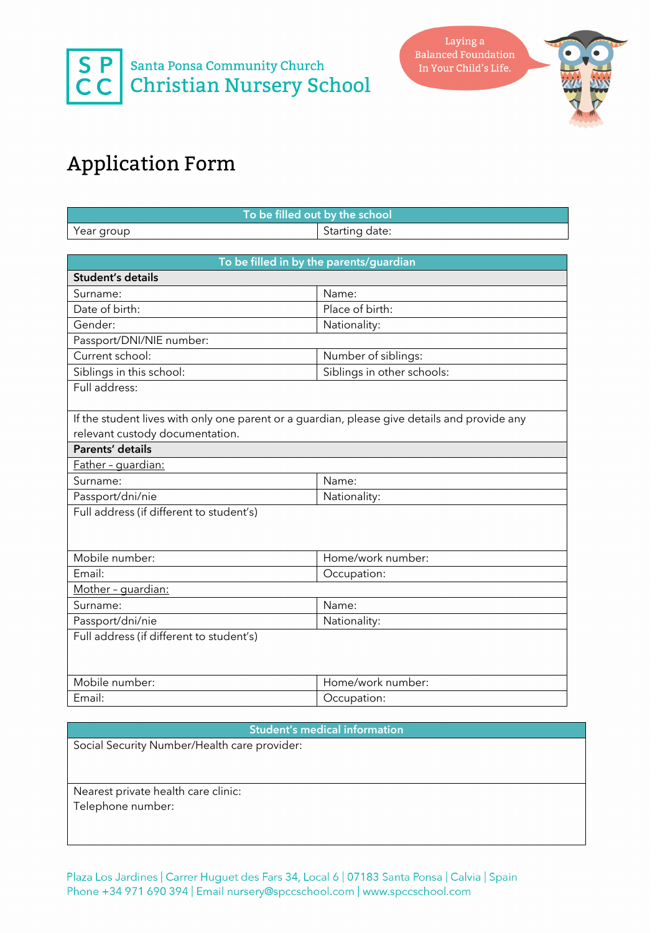



## Application Form

| To be filled out by the school           |                                                                                              |  |
|------------------------------------------|----------------------------------------------------------------------------------------------|--|
| Year group                               | Starting date:                                                                               |  |
|                                          |                                                                                              |  |
| To be filled in by the parents/guardian  |                                                                                              |  |
| Student's details                        |                                                                                              |  |
| Surname:                                 | Name:                                                                                        |  |
| Date of birth:                           | Place of birth:                                                                              |  |
| Gender:                                  | Nationality:                                                                                 |  |
| Passport/DNI/NIE number:                 |                                                                                              |  |
| Current school:                          | Number of siblings:                                                                          |  |
| Siblings in this school:                 | Siblings in other schools:                                                                   |  |
| Full address:                            |                                                                                              |  |
|                                          |                                                                                              |  |
|                                          | If the student lives with only one parent or a guardian, please give details and provide any |  |
| relevant custody documentation.          |                                                                                              |  |
| <b>Parents' details</b>                  |                                                                                              |  |
| Father - quardian:                       |                                                                                              |  |
| Surname:                                 | Name:                                                                                        |  |
| Passport/dni/nie                         | Nationality:                                                                                 |  |
| Full address (if different to student's) |                                                                                              |  |
|                                          |                                                                                              |  |
|                                          |                                                                                              |  |
| Mobile number:                           | Home/work number:                                                                            |  |
| Email:                                   | Occupation:                                                                                  |  |
| Mother - guardian:                       |                                                                                              |  |
| Surname:                                 | Name:                                                                                        |  |
| Passport/dni/nie                         | Nationality:                                                                                 |  |
| Full address (if different to student's) |                                                                                              |  |
|                                          |                                                                                              |  |
|                                          |                                                                                              |  |
| Mobile number:                           | Home/work number:                                                                            |  |
| Email:                                   | Occupation:                                                                                  |  |
|                                          |                                                                                              |  |

## **Student's medical information**

Social Security Number/Health care provider:

Nearest private health care clinic: Telephone number:

Plaza Los Jardines | Carrer Huguet des Fars 34, Local 6 | 07183 Santa Ponsa | Calvia | Spain Phone +34 971 690 394 | Email nursery@spccschool.com | www.spccschool.com